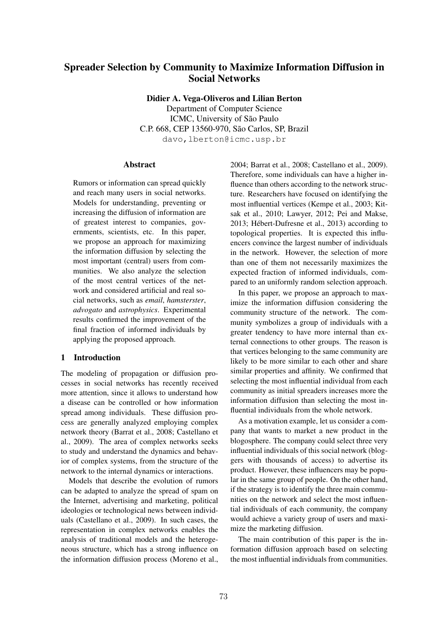# Spreader Selection by Community to Maximize Information Diffusion in Social Networks

Didier A. Vega-Oliveros and Lilian Berton

Department of Computer Science ICMC, University of São Paulo C.P. 668, CEP 13560-970, São Carlos, SP, Brazil davo, lberton@icmc.usp.br

# Abstract

Rumors or information can spread quickly and reach many users in social networks. Models for understanding, preventing or increasing the diffusion of information are of greatest interest to companies, governments, scientists, etc. In this paper, we propose an approach for maximizing the information diffusion by selecting the most important (central) users from communities. We also analyze the selection of the most central vertices of the network and considered artificial and real social networks, such as *email*, *hamsterster*, *advogato* and *astrophysics*. Experimental results confirmed the improvement of the final fraction of informed individuals by applying the proposed approach.

# 1 Introduction

The modeling of propagation or diffusion processes in social networks has recently received more attention, since it allows to understand how a disease can be controlled or how information spread among individuals. These diffusion process are generally analyzed employing complex network theory (Barrat et al., 2008; Castellano et al., 2009). The area of complex networks seeks to study and understand the dynamics and behavior of complex systems, from the structure of the network to the internal dynamics or interactions.

Models that describe the evolution of rumors can be adapted to analyze the spread of spam on the Internet, advertising and marketing, political ideologies or technological news between individuals (Castellano et al., 2009). In such cases, the representation in complex networks enables the analysis of traditional models and the heterogeneous structure, which has a strong influence on the information diffusion process (Moreno et al., 2004; Barrat et al., 2008; Castellano et al., 2009). Therefore, some individuals can have a higher influence than others according to the network structure. Researchers have focused on identifying the most influential vertices (Kempe et al., 2003; Kitsak et al., 2010; Lawyer, 2012; Pei and Makse, 2013; Hebert-Dufresne et al., 2013) according to ´ topological properties. It is expected this influencers convince the largest number of individuals in the network. However, the selection of more than one of them not necessarily maximizes the expected fraction of informed individuals, compared to an uniformly random selection approach.

In this paper, we propose an approach to maximize the information diffusion considering the community structure of the network. The community symbolizes a group of individuals with a greater tendency to have more internal than external connections to other groups. The reason is that vertices belonging to the same community are likely to be more similar to each other and share similar properties and affinity. We confirmed that selecting the most influential individual from each community as initial spreaders increases more the information diffusion than selecting the most influential individuals from the whole network.

As a motivation example, let us consider a company that wants to market a new product in the blogosphere. The company could select three very influential individuals of this social network (bloggers with thousands of access) to advertise its product. However, these influencers may be popular in the same group of people. On the other hand, if the strategy is to identify the three main communities on the network and select the most influential individuals of each community, the company would achieve a variety group of users and maximize the marketing diffusion.

The main contribution of this paper is the information diffusion approach based on selecting the most influential individuals from communities.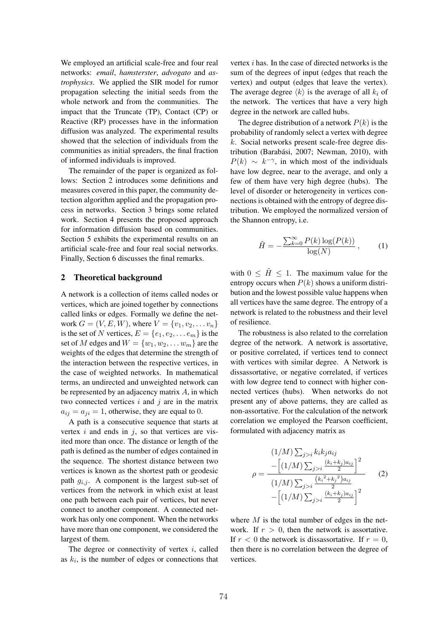We employed an artificial scale-free and four real networks: *email*, *hamsterster*, *advogato* and *astrophysics*. We applied the SIR model for rumor propagation selecting the initial seeds from the whole network and from the communities. The impact that the Truncate (TP), Contact (CP) or Reactive (RP) processes have in the information diffusion was analyzed. The experimental results showed that the selection of individuals from the communities as initial spreaders, the final fraction of informed individuals is improved.

The remainder of the paper is organized as follows: Section 2 introduces some definitions and measures covered in this paper, the community detection algorithm applied and the propagation process in networks. Section 3 brings some related work. Section 4 presents the proposed approach for information diffusion based on communities. Section 5 exhibits the experimental results on an artificial scale-free and four real social networks. Finally, Section 6 discusses the final remarks.

# 2 Theoretical background

A network is a collection of items called nodes or vertices, which are joined together by connections called links or edges. Formally we define the network  $G = (V, E, W)$ , where  $V = \{v_1, v_2, \dots v_n\}$ is the set of *N* vertices,  $E = \{e_1, e_2, \dots e_m\}$  is the set of *M* edges and  $W = \{w_1, w_2, \ldots w_m\}$  are the weights of the edges that determine the strength of the interaction between the respective vertices, in the case of weighted networks. In mathematical terms, an undirected and unweighted network can be represented by an adjacency matrix *A*, in which two connected vertices *i* and *j* are in the matrix  $a_{ij} = a_{ji} = 1$ , otherwise, they are equal to 0.

A path is a consecutive sequence that starts at vertex *i* and ends in *j*, so that vertices are visited more than once. The distance or length of the path is defined as the number of edges contained in the sequence. The shortest distance between two vertices is known as the shortest path or geodesic path  $q_{i,j}$ . A component is the largest sub-set of vertices from the network in which exist at least one path between each pair of vertices, but never connect to another component. A connected network has only one component. When the networks have more than one component, we considered the largest of them.

The degree or connectivity of vertex *i*, called as  $k_i$ , is the number of edges or connections that

vertex *i* has. In the case of directed networks is the sum of the degrees of input (edges that reach the vertex) and output (edges that leave the vertex). The average degree  $\langle k \rangle$  is the average of all  $k_i$  of the network. The vertices that have a very high degree in the network are called hubs.

The degree distribution of a network  $P(k)$  is the probability of randomly select a vertex with degree *k*. Social networks present scale-free degree distribution (Barabási, 2007; Newman, 2010), with  $P(k) \sim k^{-\gamma}$ , in which most of the individuals have low degree, near to the average, and only a few of them have very high degree (hubs). The level of disorder or heterogeneity in vertices connections is obtained with the entropy of degree distribution. We employed the normalized version of the Shannon entropy, i.e.

$$
\tilde{H} = -\frac{\sum_{k=0}^{\infty} P(k) \log(P(k))}{\log(N)},
$$
 (1)

with  $0 \leq \tilde{H} \leq 1$ . The maximum value for the entropy occurs when  $P(k)$  shows a uniform distribution and the lowest possible value happens when all vertices have the same degree. The entropy of a network is related to the robustness and their level of resilience.

The robustness is also related to the correlation degree of the network. A network is assortative, or positive correlated, if vertices tend to connect with vertices with similar degree. A Network is dissassortative, or negative correlated, if vertices with low degree tend to connect with higher connected vertices (hubs). When networks do not present any of above patterns, they are called as non-assortative. For the calculation of the network correlation we employed the Pearson coefficient, formulated with adjacency matrix as

$$
(1/M)\sum_{j>i} k_i k_j a_{ij}
$$

$$
\rho = \frac{-\left[(1/M)\sum_{j>i}\frac{(k_i+k_j)a_{ij}}{2}\right]^2}{(1/M)\sum_{j>i}\frac{(k_i^2+k_j^2)a_{ij}}{2}} \qquad (2)
$$

$$
-\left[(1/M)\sum_{j>i}\frac{(k_i+k_j)a_{ij}}{2}\right]^2
$$

where *M* is the total number of edges in the network. If  $r > 0$ , then the network is assortative. If  $r < 0$  the network is dissassortative. If  $r = 0$ , then there is no correlation between the degree of vertices.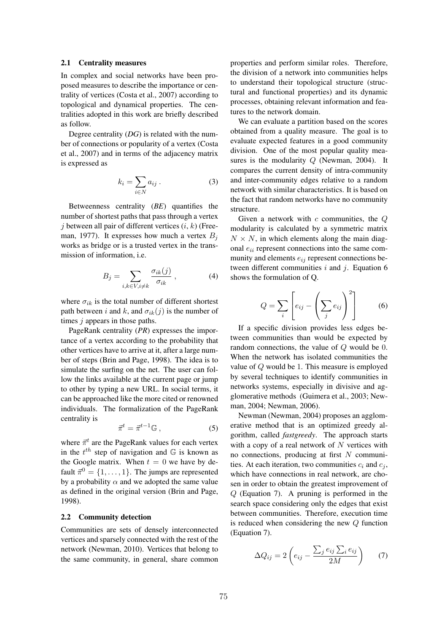#### 2.1 Centrality measures

In complex and social networks have been proposed measures to describe the importance or centrality of vertices (Costa et al., 2007) according to topological and dynamical properties. The centralities adopted in this work are briefly described as follow.

Degree centrality (*DG*) is related with the number of connections or popularity of a vertex (Costa et al., 2007) and in terms of the adjacency matrix is expressed as

$$
k_i = \sum_{i \in N} a_{ij} . \tag{3}
$$

Betweenness centrality (*BE*) quantifies the number of shortest paths that pass through a vertex *j* between all pair of different vertices (*i*, *k*) (Freeman, 1977). It expresses how much a vertex *B<sup>j</sup>* works as bridge or is a trusted vertex in the transmission of information, i.e.

$$
B_j = \sum_{i,k \in V, i \neq k} \frac{\sigma_{ik}(j)}{\sigma_{ik}}, \tag{4}
$$

where  $\sigma_{ik}$  is the total number of different shortest path between *i* and *k*, and  $\sigma_{ik}(i)$  is the number of times *j* appears in those paths.

PageRank centrality (*PR*) expresses the importance of a vertex according to the probability that other vertices have to arrive at it, after a large number of steps (Brin and Page, 1998). The idea is to simulate the surfing on the net. The user can follow the links available at the current page or jump to other by typing a new URL. In social terms, it can be approached like the more cited or renowned individuals. The formalization of the PageRank centrality is

$$
\vec{\pi}^t = \vec{\pi}^{t-1} \mathbb{G} \,, \tag{5}
$$

where  $\vec{\pi}^t$  are the PageRank values for each vertex in the  $t^{th}$  step of navigation and  $\mathbb{G}$  is known as the Google matrix. When  $t = 0$  we have by default  $\vec{\pi}^0 = \{1, \ldots, 1\}$ . The jumps are represented by a probability  $\alpha$  and we adopted the same value as defined in the original version (Brin and Page, 1998).

#### 2.2 Community detection

Communities are sets of densely interconnected vertices and sparsely connected with the rest of the network (Newman, 2010). Vertices that belong to the same community, in general, share common properties and perform similar roles. Therefore, the division of a network into communities helps to understand their topological structure (structural and functional properties) and its dynamic processes, obtaining relevant information and features to the network domain.

We can evaluate a partition based on the scores obtained from a quality measure. The goal is to evaluate expected features in a good community division. One of the most popular quality measures is the modularity *Q* (Newman, 2004). It compares the current density of intra-community and inter-community edges relative to a random network with similar characteristics. It is based on the fact that random networks have no community structure.

Given a network with *c* communities, the *Q* modularity is calculated by a symmetric matrix  $N \times N$ , in which elements along the main diagonal *eii* represent connections into the same community and elements  $e_{ij}$  represent connections between different communities *i* and *j*. Equation 6 shows the formulation of Q.

$$
Q = \sum_{i} \left[ e_{ij} - \left( \sum_{j} e_{ij} \right)^2 \right] \tag{6}
$$

If a specific division provides less edges between communities than would be expected by random connections, the value of *Q* would be 0. When the network has isolated communities the value of *Q* would be 1. This measure is employed by several techniques to identify communities in networks systems, especially in divisive and agglomerative methods (Guimera et al., 2003; Newman, 2004; Newman, 2006).

Newman (Newman, 2004) proposes an agglomerative method that is an optimized greedy algorithm, called *fastgreedy*. The approach starts with a copy of a real network of *N* vertices with no connections, producing at first *N* communities. At each iteration, two communities  $c_i$  and  $c_j$ , which have connections in real network, are chosen in order to obtain the greatest improvement of *Q* (Equation 7). A pruning is performed in the search space considering only the edges that exist between communities. Therefore, execution time is reduced when considering the new *Q* function (Equation 7).

$$
\Delta Q_{ij} = 2\left(e_{ij} - \frac{\sum_j e_{ij} \sum_i e_{ij}}{2M}\right) \tag{7}
$$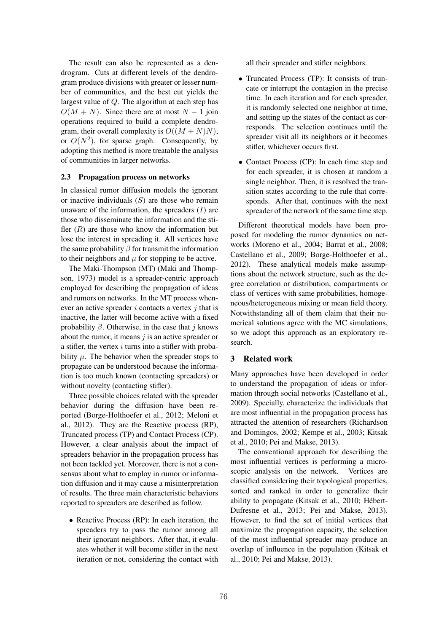The result can also be represented as a dendrogram. Cuts at different levels of the dendrogram produce divisions with greater or lesser number of communities, and the best cut yields the largest value of *Q*. The algorithm at each step has  $O(M + N)$ . Since there are at most  $N - 1$  join operations required to build a complete dendrogram, their overall complexity is  $O((M+N)N)$ , or  $O(N^2)$ , for sparse graph. Consequently, by adopting this method is more treatable the analysis of communities in larger networks.

### 2.3 Propagation process on networks

In classical rumor diffusion models the ignorant or inactive individuals (*S*) are those who remain unaware of the information, the spreaders (*I*) are those who disseminate the information and the stifler  $(R)$  are those who know the information but lose the interest in spreading it. All vertices have the same probability  $\beta$  for transmit the information to their neighbors and  $\mu$  for stopping to be active.

The Maki-Thompson (MT) (Maki and Thompson, 1973) model is a spreader-centric approach employed for describing the propagation of ideas and rumors on networks. In the MT process whenever an active spreader *i* contacts a vertex *j* that is inactive, the latter will become active with a fixed probability  $\beta$ . Otherwise, in the case that *j* knows about the rumor, it means *j* is an active spreader or a stifler, the vertex *i* turns into a stifler with probability  $\mu$ . The behavior when the spreader stops to propagate can be understood because the information is too much known (contacting spreaders) or without novelty (contacting stifler).

Three possible choices related with the spreader behavior during the diffusion have been reported (Borge-Holthoefer et al., 2012; Meloni et al., 2012). They are the Reactive process (RP), Truncated process (TP) and Contact Process (CP). However, a clear analysis about the impact of spreaders behavior in the propagation process has not been tackled yet. Moreover, there is not a consensus about what to employ in rumor or information diffusion and it may cause a misinterpretation of results. The three main characteristic behaviors reported to spreaders are described as follow.

*•* Reactive Process (RP): In each iteration, the spreaders try to pass the rumor among all their ignorant neighbors. After that, it evaluates whether it will become stifler in the next iteration or not, considering the contact with all their spreader and stifler neighbors.

- *•* Truncated Process (TP): It consists of truncate or interrupt the contagion in the precise time. In each iteration and for each spreader, it is randomly selected one neighbor at time, and setting up the states of the contact as corresponds. The selection continues until the spreader visit all its neighbors or it becomes stifler, whichever occurs first.
- *•* Contact Process (CP): In each time step and for each spreader, it is chosen at random a single neighbor. Then, it is resolved the transition states according to the rule that corresponds. After that, continues with the next spreader of the network of the same time step.

Different theoretical models have been proposed for modeling the rumor dynamics on networks (Moreno et al., 2004; Barrat et al., 2008; Castellano et al., 2009; Borge-Holthoefer et al., 2012). These analytical models make assumptions about the network structure, such as the degree correlation or distribution, compartments or class of vertices with same probabilities, homogeneous/heterogeneous mixing or mean field theory. Notwithstanding all of them claim that their numerical solutions agree with the MC simulations, so we adopt this approach as an exploratory research.

# 3 Related work

Many approaches have been developed in order to understand the propagation of ideas or information through social networks (Castellano et al., 2009). Specially, characterize the individuals that are most influential in the propagation process has attracted the attention of researchers (Richardson and Domingos, 2002; Kempe et al., 2003; Kitsak et al., 2010; Pei and Makse, 2013).

The conventional approach for describing the most influential vertices is performing a microscopic analysis on the network. Vertices are classified considering their topological properties, sorted and ranked in order to generalize their ability to propagate (Kitsak et al., 2010; Hébert-Dufresne et al., 2013; Pei and Makse, 2013). However, to find the set of initial vertices that maximize the propagation capacity, the selection of the most influential spreader may produce an overlap of influence in the population (Kitsak et al., 2010; Pei and Makse, 2013).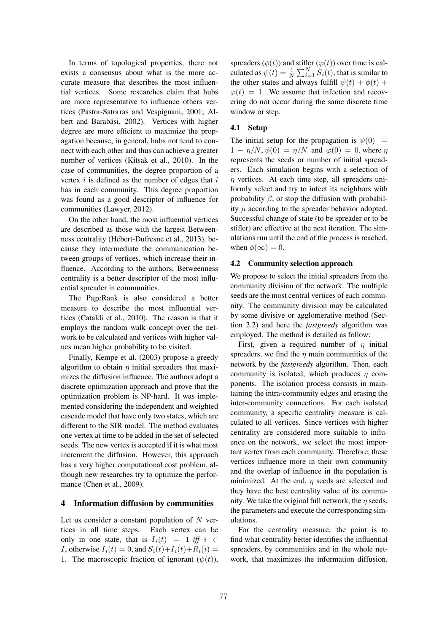In terms of topological properties, there not exists a consensus about what is the more accurate measure that describes the most influential vertices. Some researches claim that hubs are more representative to influence others vertices (Pastor-Satorras and Vespignani, 2001; Albert and Barabási, 2002). Vertices with higher degree are more efficient to maximize the propagation because, in general, hubs not tend to connect with each other and thus can achieve a greater number of vertices (Kitsak et al., 2010). In the case of communities, the degree proportion of a vertex *i* is defined as the number of edges that *i* has in each community. This degree proportion was found as a good descriptor of influence for communities (Lawyer, 2012).

On the other hand, the most influential vertices are described as those with the largest Betweenness centrality (Hébert-Dufresne et al., 2013), because they intermediate the communication between groups of vertices, which increase their influence. According to the authors, Betweenness centrality is a better descriptor of the most influential spreader in communities.

The PageRank is also considered a better measure to describe the most influential vertices (Cataldi et al., 2010). The reason is that it employs the random walk concept over the network to be calculated and vertices with higher values mean higher probability to be visited.

Finally, Kempe et al. (2003) propose a greedy algorithm to obtain  $\eta$  initial spreaders that maximizes the diffusion influence. The authors adopt a discrete optimization approach and prove that the optimization problem is NP-hard. It was implemented considering the independent and weighted cascade model that have only two states, which are different to the SIR model. The method evaluates one vertex at time to be added in the set of selected seeds. The new vertex is accepted if it is what most increment the diffusion. However, this approach has a very higher computational cost problem, although new researches try to optimize the performance (Chen et al., 2009).

# 4 Information diffusion by communities

Let us consider a constant population of *N* vertices in all time steps. Each vertex can be only in one state, that is  $I_i(t) = 1$  *iff*  $i \in$ *I*, otherwise  $I_i(t) = 0$ , and  $S_i(t) + I_i(t) + R_i(i) = 0$ 1. The macroscopic fraction of ignorant  $(\psi(t))$ ,

spreaders  $(\phi(t))$  and stifler  $(\phi(t))$  over time is calculated as  $\psi(t) = \frac{1}{N} \sum_{i=1}^{N} S_i(t)$ , that is similar to the other states and always fulfill  $\psi(t) + \phi(t) +$  $\varphi(t)=1$ . We assume that infection and recovering do not occur during the same discrete time window or step.

# 4.1 Setup

The initial setup for the propagation is  $\psi(0)$  =  $1 - \eta/N$ ,  $\phi(0) = \eta/N$  and  $\phi(0) = 0$ , where  $\eta$ represents the seeds or number of initial spreaders. Each simulation begins with a selection of  $\eta$  vertices. At each time step, all spreaders uniformly select and try to infect its neighbors with probability  $\beta$ , or stop the diffusion with probability  $\mu$  according to the spreader behavior adopted. Successful change of state (to be spreader or to be stifler) are effective at the next iteration. The simulations run until the end of the process is reached, when  $\phi(\infty)=0$ .

#### 4.2 Community selection approach

We propose to select the initial spreaders from the community division of the network. The multiple seeds are the most central vertices of each community. The community division may be calculated by some divisive or agglomerative method (Section 2.2) and here the *fastgreedy* algorithm was employed. The method is detailed as follow:

First, given a required number of  $\eta$  initial spreaders, we find the  $\eta$  main communities of the network by the *fastgreedy* algorithm. Then, each community is isolated, which produces  $\eta$  components. The isolation process consists in maintaining the intra-community edges and erasing the inter-community connections. For each isolated community, a specific centrality measure is calculated to all vertices. Since vertices with higher centrality are considered more suitable to influence on the network, we select the most important vertex from each community. Therefore, these vertices influence more in their own community and the overlap of influence in the population is minimized. At the end,  $\eta$  seeds are selected and they have the best centrality value of its community. We take the original full network, the  $\eta$  seeds, the parameters and execute the corresponding simulations.

For the centrality measure, the point is to find what centrality better identifies the influential spreaders, by communities and in the whole network, that maximizes the information diffusion.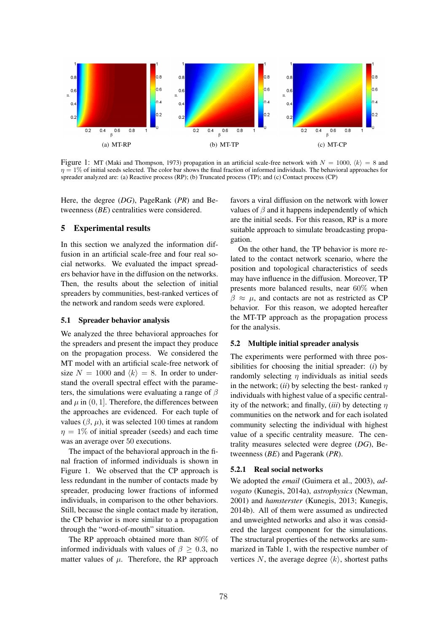

Figure 1: MT (Maki and Thompson, 1973) propagation in an artificial scale-free network with  $N = 1000$ ,  $\langle k \rangle = 8$  and  $\eta = 1\%$  of initial seeds selected. The color bar shows the final fraction of informed individuals. The behavioral approaches for spreader analyzed are: (a) Reactive process (RP); (b) Truncated process (TP); and (c) Contact process (CP)

Here, the degree (*DG*), PageRank (*PR*) and Betweenness (*BE*) centralities were considered.

# 5 Experimental results

In this section we analyzed the information diffusion in an artificial scale-free and four real social networks. We evaluated the impact spreaders behavior have in the diffusion on the networks. Then, the results about the selection of initial spreaders by communities, best-ranked vertices of the network and random seeds were explored.

# 5.1 Spreader behavior analysis

We analyzed the three behavioral approaches for the spreaders and present the impact they produce on the propagation process. We considered the MT model with an artificial scale-free network of size  $N = 1000$  and  $\langle k \rangle = 8$ . In order to understand the overall spectral effect with the parameters, the simulations were evaluating a range of  $\beta$ and  $\mu$  in  $(0, 1]$ . Therefore, the differences between the approaches are evidenced. For each tuple of values  $(\beta, \mu)$ , it was selected 100 times at random  $\eta = 1\%$  of initial spreader (seeds) and each time was an average over 50 executions.

The impact of the behavioral approach in the final fraction of informed individuals is shown in Figure 1. We observed that the CP approach is less redundant in the number of contacts made by spreader, producing lower fractions of informed individuals, in comparison to the other behaviors. Still, because the single contact made by iteration, the CP behavior is more similar to a propagation through the "word-of-mouth" situation.

The RP approach obtained more than 80% of informed individuals with values of  $\beta > 0.3$ , no matter values of  $\mu$ . Therefore, the RP approach favors a viral diffusion on the network with lower values of  $\beta$  and it happens independently of which are the initial seeds. For this reason, RP is a more suitable approach to simulate broadcasting propagation.

On the other hand, the TP behavior is more related to the contact network scenario, where the position and topological characteristics of seeds may have influence in the diffusion. Moreover, TP presents more balanced results, near 60% when  $\beta \approx \mu$ , and contacts are not as restricted as CP behavior. For this reason, we adopted hereafter the MT-TP approach as the propagation process for the analysis.

# 5.2 Multiple initial spreader analysis

The experiments were performed with three possibilities for choosing the initial spreader: (*i*) by randomly selecting  $\eta$  individuals as initial seeds in the network; *(ii)* by selecting the best- ranked  $n$ individuals with highest value of a specific centrality of the network; and finally,  $(iii)$  by detecting  $\eta$ communities on the network and for each isolated community selecting the individual with highest value of a specific centrality measure. The centrality measures selected were degree (*DG*), Betweenness (*BE*) and Pagerank (*PR*).

#### 5.2.1 Real social networks

We adopted the *email* (Guimera et al., 2003), *advogato* (Kunegis, 2014a), *astrophysics* (Newman, 2001) and *hamsterster* (Kunegis, 2013; Kunegis, 2014b). All of them were assumed as undirected and unweighted networks and also it was considered the largest component for the simulations. The structural properties of the networks are summarized in Table 1, with the respective number of vertices N, the average degree  $\langle k \rangle$ , shortest paths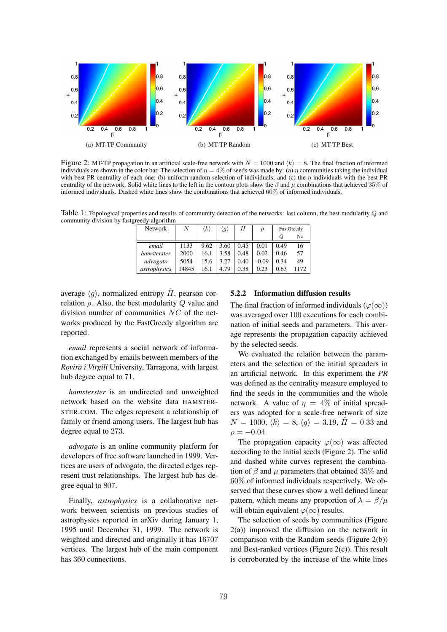

Figure 2: MT-TP propagation in an artificial scale-free network with  $N = 1000$  and  $\langle k \rangle = 8$ . The final fraction of informed individuals are shown in the color bar. The selection of  $\eta = 4\%$  of seeds was made by: (a)  $\eta$  communities taking the individual with best PR centrality of each one; (b) uniform random selection of individuals; and (c) the  $\eta$  individuals with the best PR centrality of the network. Solid white lines to the left in the contour plots show the  $\beta$  and  $\mu$  combinations that achieved 35% of informed individuals. Dashed white lines show the combinations that achieved 60% of informed individuals.

Table 1: Topological properties and results of community detection of the networks: last column, the best modularity *Q* and community division by fastgreedy algorithm

| <b>Network</b> | N     | $\langle k \rangle$ | $\langle g \rangle$ | Н    | $\rho$  | FastGreedy |    |
|----------------|-------|---------------------|---------------------|------|---------|------------|----|
|                |       |                     |                     |      |         | Q          | Nc |
| email          | 1133  | 9.62                | 3.60                | 0.45 | 0.01    | 0.49       | 16 |
| hamsterster    | 2000  | 16.1                | 3.58                | 0.48 | 0.02    | 0.46       | 57 |
| advogato       | 5054  | 15.6                | 3.27                | 0.40 | $-0.09$ | 0.34       | 49 |
| astrophysics   | 14845 | 16.1                | 4.79                | 0.38 | 0.23    | 0.63       |    |

average  $\langle q \rangle$ , normalized entropy  $\tilde{H}$ , pearson correlation  $\rho$ . Also, the best modularity  $Q$  value and division number of communities *NC* of the networks produced by the FastGreedy algorithm are reported.

*email* represents a social network of information exchanged by emails between members of the *Rovira i Virgili* University, Tarragona, with largest hub degree equal to 71.

*hamsterster* is an undirected and unweighted network based on the website data HAMSTER-STER.COM. The edges represent a relationship of family or friend among users. The largest hub has degree equal to 273.

*advogato* is an online community platform for developers of free software launched in 1999. Vertices are users of advogato, the directed edges represent trust relationships. The largest hub has degree equal to 807.

Finally, *astrophysics* is a collaborative network between scientists on previous studies of astrophysics reported in arXiv during January 1, 1995 until December 31, 1999. The network is weighted and directed and originally it has 16707 vertices. The largest hub of the main component has 360 connections.

# 5.2.2 Information diffusion results

The final fraction of informed individuals ( $\varphi(\infty)$ ) was averaged over 100 executions for each combination of initial seeds and parameters. This average represents the propagation capacity achieved by the selected seeds.

We evaluated the relation between the parameters and the selection of the initial spreaders in an artificial network. In this experiment the *PR* was defined as the centrality measure employed to find the seeds in the communities and the whole network. A value of  $\eta = 4\%$  of initial spreaders was adopted for a scale-free network of size  $N = 1000, \langle k \rangle = 8, \langle g \rangle = 3.19, \tilde{H} = 0.33$  and  $\rho = -0.04$ .

The propagation capacity  $\varphi(\infty)$  was affected according to the initial seeds (Figure 2). The solid and dashed white curves represent the combination of  $\beta$  and  $\mu$  parameters that obtained 35% and 60% of informed individuals respectively. We observed that these curves show a well defined linear pattern, which means any proportion of  $\lambda = \beta/\mu$ will obtain equivalent  $\varphi(\infty)$  results.

The selection of seeds by communities (Figure 2(a)) improved the diffusion on the network in comparison with the Random seeds (Figure 2(b)) and Best-ranked vertices (Figure 2(c)). This result is corroborated by the increase of the white lines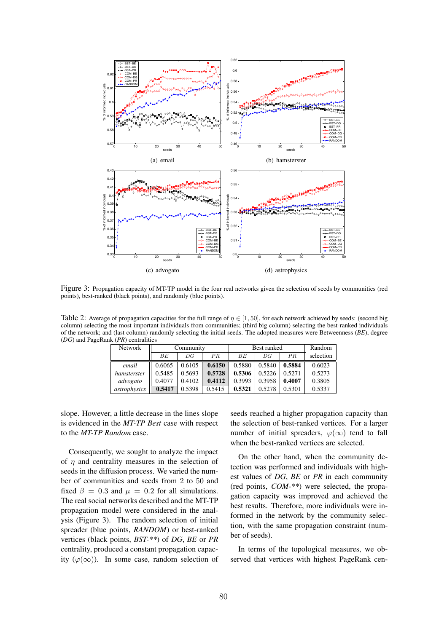

Figure 3: Propagation capacity of MT-TP model in the four real networks given the selection of seeds by communities (red points), best-ranked (black points), and randomly (blue points).

Table 2: Average of propagation capacities for the full range of  $\eta \in [1, 50]$ , for each network achieved by seeds: (second big column) selecting the most important individuals from communities; (third big column) selecting the best-ranked individuals of the network; and (last column) randomly selecting the initial seeds. The adopted measures were Betweenness (*BE*), degree (*DG*) and PageRank (*PR*) centralities

| Network      | Community |        |        | Best ranked |        |        | Random    |
|--------------|-----------|--------|--------|-------------|--------|--------|-----------|
|              | BE        | DG     | PR     | BЕ          | DG     | PR     | selection |
| email        | 0.6065    | 0.6105 | 0.6150 | 0.5880      | 0.5840 | 0.5884 | 0.6023    |
| hamsterster  | 0.5485    | 0.5693 | 0.5728 | 0.5306      | 0.5226 | 0.5271 | 0.5273    |
| advogato     | 0.4077    | 0.4102 | 0.4112 | 0.3993      | 0.3958 | 0.4007 | 0.3805    |
| astrophysics | 0.5417    | 0.5398 | 0.5415 | 0.5321      | 0.5278 | 0.5301 | 0.5337    |

slope. However, a little decrease in the lines slope is evidenced in the *MT-TP Best* case with respect to the *MT-TP Random* case.

Consequently, we sought to analyze the impact of  $\eta$  and centrality measures in the selection of seeds in the diffusion process. We varied the number of communities and seeds from 2 to 50 and fixed  $\beta = 0.3$  and  $\mu = 0.2$  for all simulations. The real social networks described and the MT-TP propagation model were considered in the analysis (Figure 3). The random selection of initial spreader (blue points, *RANDOM*) or best-ranked vertices (black points, *BST-\*\**) of *DG*, *BE* or *PR* centrality, produced a constant propagation capacity  $(\varphi(\infty))$ . In some case, random selection of seeds reached a higher propagation capacity than the selection of best-ranked vertices. For a larger number of initial spreaders,  $\varphi(\infty)$  tend to fall when the best-ranked vertices are selected.

On the other hand, when the community detection was performed and individuals with highest values of *DG*, *BE* or *PR* in each community (red points, *COM-\*\**) were selected, the propagation capacity was improved and achieved the best results. Therefore, more individuals were informed in the network by the community selection, with the same propagation constraint (number of seeds).

In terms of the topological measures, we observed that vertices with highest PageRank cen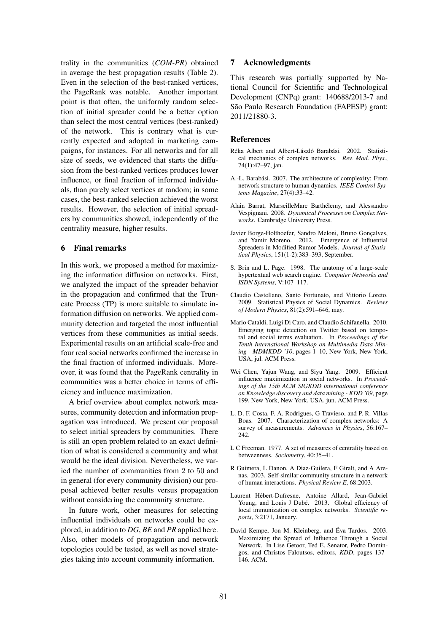trality in the communities (*COM-PR*) obtained in average the best propagation results (Table 2). Even in the selection of the best-ranked vertices, the PageRank was notable. Another important point is that often, the uniformly random selection of initial spreader could be a better option than select the most central vertices (best-ranked) of the network. This is contrary what is currently expected and adopted in marketing campaigns, for instances. For all networks and for all size of seeds, we evidenced that starts the diffusion from the best-ranked vertices produces lower influence, or final fraction of informed individuals, than purely select vertices at random; in some cases, the best-ranked selection achieved the worst results. However, the selection of initial spreaders by communities showed, independently of the centrality measure, higher results.

# 6 Final remarks

In this work, we proposed a method for maximizing the information diffusion on networks. First, we analyzed the impact of the spreader behavior in the propagation and confirmed that the Truncate Process (TP) is more suitable to simulate information diffusion on networks. We applied community detection and targeted the most influential vertices from these communities as initial seeds. Experimental results on an artificial scale-free and four real social networks confirmed the increase in the final fraction of informed individuals. Moreover, it was found that the PageRank centrality in communities was a better choice in terms of efficiency and influence maximization.

A brief overview about complex network measures, community detection and information propagation was introduced. We present our proposal to select initial spreaders by communities. There is still an open problem related to an exact definition of what is considered a community and what would be the ideal division. Nevertheless, we varied the number of communities from 2 to 50 and in general (for every community division) our proposal achieved better results versus propagation without considering the community structure.

In future work, other measures for selecting influential individuals on networks could be explored, in addition to *DG*, *BE* and *PR* applied here. Also, other models of propagation and network topologies could be tested, as well as novel strategies taking into account community information.

# 7 Acknowledgments

This research was partially supported by National Council for Scientific and Technological Development (CNPq) grant: 140688/2013-7 and São Paulo Research Foundation (FAPESP) grant: 2011/21880-3.

# **References**

- Réka Albert and Albert-László Barabási. 2002. Statistical mechanics of complex networks. *Rev. Mod. Phys.*, 74(1):47–97, jan.
- A.-L. Barabási. 2007. The architecture of complexity: From network structure to human dynamics. *IEEE Control Systems Magazine*, 27(4):33–42.
- Alain Barrat, MarseilleMarc Barthelemy, and Alessandro ´ Vespignani. 2008. *Dynamical Processes on Complex Networks*. Cambridge University Press.
- Javier Borge-Holthoefer, Sandro Meloni, Bruno Gonçalves, and Yamir Moreno. 2012. Emergence of Influential Spreaders in Modified Rumor Models. *Journal of Statistical Physics*, 151(1-2):383–393, September.
- S. Brin and L. Page. 1998. The anatomy of a large-scale hypertextual web search engine. *Computer Networks and ISDN Systems*, V:107–117.
- Claudio Castellano, Santo Fortunato, and Vittorio Loreto. 2009. Statistical Physics of Social Dynamics. *Reviews of Modern Physics*, 81(2):591–646, may.
- Mario Cataldi, Luigi Di Caro, and Claudio Schifanella. 2010. Emerging topic detection on Twitter based on temporal and social terms evaluation. In *Proceedings of the Tenth International Workshop on Multimedia Data Mining - MDMKDD '10*, pages 1–10, New York, New York, USA, jul. ACM Press.
- Wei Chen, Yajun Wang, and Siyu Yang. 2009. Efficient influence maximization in social networks. In *Proceedings of the 15th ACM SIGKDD international conference on Knowledge discovery and data mining - KDD '09*, page 199, New York, New York, USA, jun. ACM Press.
- L. D. F. Costa, F. A. Rodrigues, G Travieso, and P. R. Villas Boas. 2007. Characterization of complex networks: A survey of measurements. *Advances in Physics*, 56:167– 242.
- L C Freeman. 1977. A set of measures of centrality based on betweenness. *Sociometry*, 40:35–41.
- R Guimera, L Danon, A Diaz-Guilera, F Giralt, and A Arenas. 2003. Self-similar community structure in a network of human interactions. *Physical Review E*, 68:2003.
- Laurent Hebert-Dufresne, Antoine Allard, Jean-Gabriel ´ Young, and Louis J Dubé. 2013. Global efficiency of local immunization on complex networks. *Scientific reports*, 3:2171, January.
- David Kempe, Jon M. Kleinberg, and Éva Tardos. 2003. Maximizing the Spread of Influence Through a Social Network. In Lise Getoor, Ted E. Senator, Pedro Domingos, and Christos Faloutsos, editors, *KDD*, pages 137– 146. ACM.